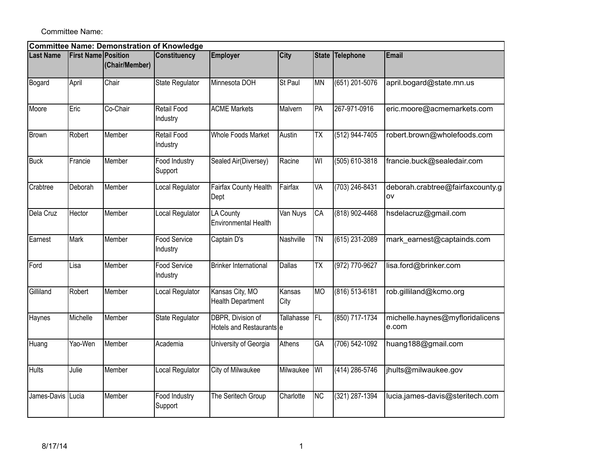Committee Name:

| <b>Committee Name: Demonstration of Knowledge</b> |                            |                |                                 |                                                 |                   |                          |                 |                                               |  |  |
|---------------------------------------------------|----------------------------|----------------|---------------------------------|-------------------------------------------------|-------------------|--------------------------|-----------------|-----------------------------------------------|--|--|
| <b>Last Name</b>                                  | <b>First Name Position</b> | (Chair/Member) | <b>Constituency</b>             | <b>Employer</b>                                 | City              |                          | State Telephone | Email                                         |  |  |
| Bogard                                            | April                      | Chair          | State Regulator                 | Minnesota DOH                                   | <b>St Paul</b>    | <b>MN</b>                | (651) 201-5076  | april.bogard@state.mn.us                      |  |  |
| Moore                                             | Eric                       | Co-Chair       | Retail Food<br>Industry         | <b>ACME Markets</b>                             | Malvern           | <b>PA</b>                | 267-971-0916    | eric.moore@acmemarkets.com                    |  |  |
| Brown                                             | Robert                     | Member         | Retail Food<br>Industry         | <b>Whole Foods Market</b>                       | Austin            | $\overline{\mathsf{TX}}$ | (512) 944-7405  | robert.brown@wholefoods.com                   |  |  |
| <b>Buck</b>                                       | Francie                    | Member         | Food Industry<br>Support        | Sealed Air(Diversey)                            | Racine            | WI                       | (505) 610-3818  | francie.buck@sealedair.com                    |  |  |
| Crabtree                                          | Deborah                    | Member         | Local Regulator                 | Fairfax County Health<br>Dept                   | Fairfax           | VA                       | (703) 246-8431  | deborah.crabtree@fairfaxcounty.g<br><b>OV</b> |  |  |
| Dela Cruz                                         | Hector                     | Member         | Local Regulator                 | <b>LA County</b><br><b>Environmental Health</b> | Van Nuys          | CA                       | (818) 902-4468  | hsdelacruz@gmail.com                          |  |  |
| Earnest                                           | Mark                       | Member         | Food Service<br>Industry        | Captain D's                                     | Nashville         | <b>TN</b>                | (615) 231-2089  | mark_earnest@captainds.com                    |  |  |
| Ford                                              | Lisa                       | Member         | <b>Food Service</b><br>Industry | <b>Brinker International</b>                    | <b>Dallas</b>     | <b>ΤΧ</b>                | (972) 770-9627  | lisa.ford@brinker.com                         |  |  |
| Gilliland                                         | Robert                     | Member         | Local Regulator                 | Kansas City, MO<br><b>Health Department</b>     | Kansas<br>City    | <b>MO</b>                | (816) 513-6181  | rob.gilliland@kcmo.org                        |  |  |
| Haynes                                            | Michelle                   | Member         | <b>State Regulator</b>          | DBPR, Division of<br>Hotels and Restaurants e   | <b>Tallahasse</b> | FL.                      | (850) 717-1734  | michelle.haynes@myfloridalicens<br>e.com      |  |  |
| Huang                                             | Yao-Wen                    | Member         | Academia                        | University of Georgia                           | Athens            | GA                       | (706) 542-1092  | huang188@gmail.com                            |  |  |
| <b>Hults</b>                                      | Julie                      | Member         | Local Regulator                 | <b>City of Milwaukee</b>                        | Milwaukee         | WI                       | (414) 286-5746  | jhults@milwaukee.gov                          |  |  |
| James-Davis Lucia                                 |                            | Member         | Food Industry<br>Support        | The Seritech Group                              | Charlotte         | NC                       | (321) 287-1394  | lucia.james-davis@steritech.com               |  |  |